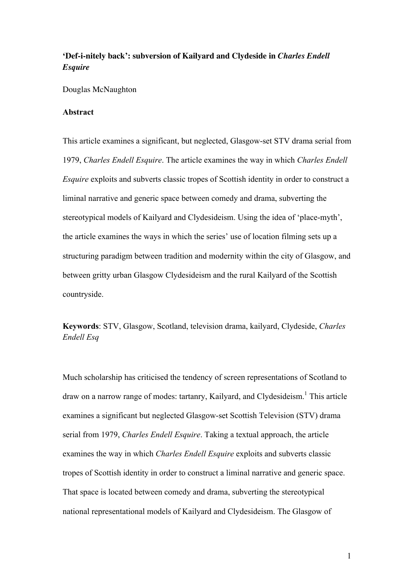# **'Def-i-nitely back': subversion of Kailyard and Clydeside in** *Charles Endell Esquire*

Douglas McNaughton

# **Abstract**

This article examines a significant, but neglected, Glasgow-set STV drama serial from 1979, *Charles Endell Esquire*. The article examines the way in which *Charles Endell Esquire* exploits and subverts classic tropes of Scottish identity in order to construct a liminal narrative and generic space between comedy and drama, subverting the stereotypical models of Kailyard and Clydesideism. Using the idea of 'place-myth', the article examines the ways in which the series' use of location filming sets up a structuring paradigm between tradition and modernity within the city of Glasgow, and between gritty urban Glasgow Clydesideism and the rural Kailyard of the Scottish countryside.

**Keywords**: STV, Glasgow, Scotland, television drama, kailyard, Clydeside, *Charles Endell Esq*

Much scholarship has criticised the tendency of screen representations of Scotland to draw on a narrow range of modes: tartanry, Kailyard, and Clydesideism. <sup>1</sup> This article examines a significant but neglected Glasgow-set Scottish Television (STV) drama serial from 1979, *Charles Endell Esquire*. Taking a textual approach, the article examines the way in which *Charles Endell Esquire* exploits and subverts classic tropes of Scottish identity in order to construct a liminal narrative and generic space. That space is located between comedy and drama, subverting the stereotypical national representational models of Kailyard and Clydesideism. The Glasgow of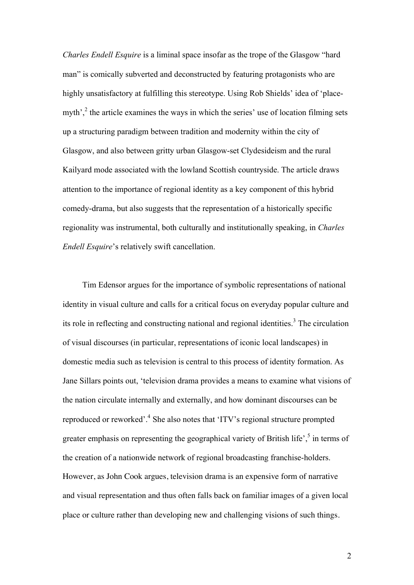*Charles Endell Esquire* is a liminal space insofar as the trope of the Glasgow "hard man" is comically subverted and deconstructed by featuring protagonists who are highly unsatisfactory at fulfilling this stereotype. Using Rob Shields' idea of 'placemyth',<sup>2</sup> the article examines the ways in which the series' use of location filming sets up a structuring paradigm between tradition and modernity within the city of Glasgow, and also between gritty urban Glasgow-set Clydesideism and the rural Kailyard mode associated with the lowland Scottish countryside. The article draws attention to the importance of regional identity as a key component of this hybrid comedy-drama, but also suggests that the representation of a historically specific regionality was instrumental, both culturally and institutionally speaking, in *Charles Endell Esquire*'s relatively swift cancellation.

Tim Edensor argues for the importance of symbolic representations of national identity in visual culture and calls for a critical focus on everyday popular culture and its role in reflecting and constructing national and regional identities. <sup>3</sup> The circulation of visual discourses (in particular, representations of iconic local landscapes) in domestic media such as television is central to this process of identity formation. As Jane Sillars points out, 'television drama provides a means to examine what visions of the nation circulate internally and externally, and how dominant discourses can be reproduced or reworked'.4 She also notes that 'ITV's regional structure prompted greater emphasis on representing the geographical variety of British life', $\frac{5}{3}$  in terms of the creation of a nationwide network of regional broadcasting franchise-holders. However, as John Cook argues, television drama is an expensive form of narrative and visual representation and thus often falls back on familiar images of a given local place or culture rather than developing new and challenging visions of such things.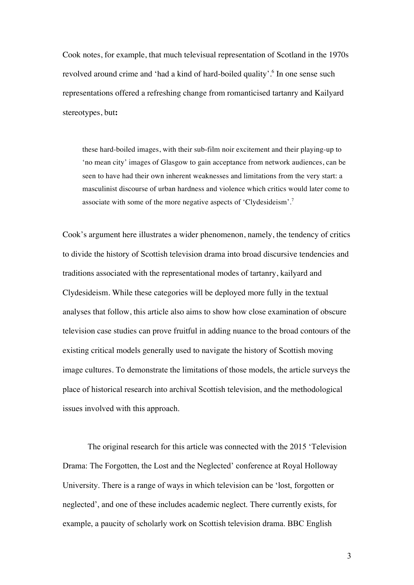Cook notes, for example, that much televisual representation of Scotland in the 1970s revolved around crime and 'had a kind of hard-boiled quality'.<sup>6</sup> In one sense such representations offered a refreshing change from romanticised tartanry and Kailyard stereotypes, but**:**

these hard-boiled images, with their sub-film noir excitement and their playing-up to 'no mean city' images of Glasgow to gain acceptance from network audiences, can be seen to have had their own inherent weaknesses and limitations from the very start: a masculinist discourse of urban hardness and violence which critics would later come to associate with some of the more negative aspects of 'Clydesideism'.<sup>7</sup>

Cook's argument here illustrates a wider phenomenon, namely, the tendency of critics to divide the history of Scottish television drama into broad discursive tendencies and traditions associated with the representational modes of tartanry, kailyard and Clydesideism. While these categories will be deployed more fully in the textual analyses that follow, this article also aims to show how close examination of obscure television case studies can prove fruitful in adding nuance to the broad contours of the existing critical models generally used to navigate the history of Scottish moving image cultures. To demonstrate the limitations of those models, the article surveys the place of historical research into archival Scottish television, and the methodological issues involved with this approach.

The original research for this article was connected with the 2015 'Television Drama: The Forgotten, the Lost and the Neglected' conference at Royal Holloway University. There is a range of ways in which television can be 'lost, forgotten or neglected', and one of these includes academic neglect. There currently exists, for example, a paucity of scholarly work on Scottish television drama. BBC English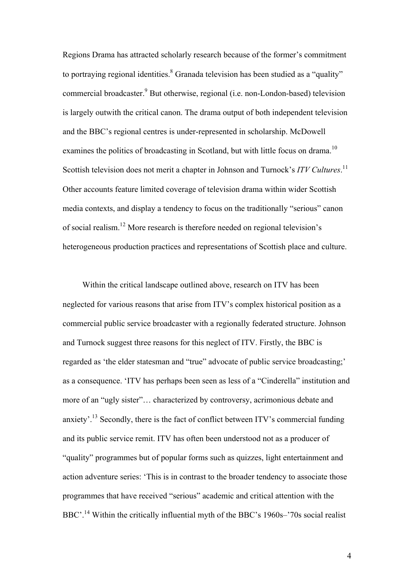Regions Drama has attracted scholarly research because of the former's commitment to portraying regional identities.<sup>8</sup> Granada television has been studied as a "quality" commercial broadcaster. <sup>9</sup> But otherwise, regional (i.e. non-London-based) television is largely outwith the critical canon. The drama output of both independent television and the BBC's regional centres is under-represented in scholarship. McDowell examines the politics of broadcasting in Scotland, but with little focus on drama.<sup>10</sup> Scottish television does not merit a chapter in Johnson and Turnock's *ITV Cultures*.<sup>11</sup> Other accounts feature limited coverage of television drama within wider Scottish media contexts, and display a tendency to focus on the traditionally "serious" canon of social realism.<sup>12</sup> More research is therefore needed on regional television's heterogeneous production practices and representations of Scottish place and culture.

Within the critical landscape outlined above, research on ITV has been neglected for various reasons that arise from ITV's complex historical position as a commercial public service broadcaster with a regionally federated structure. Johnson and Turnock suggest three reasons for this neglect of ITV. Firstly, the BBC is regarded as 'the elder statesman and "true" advocate of public service broadcasting;' as a consequence. 'ITV has perhaps been seen as less of a "Cinderella" institution and more of an "ugly sister"… characterized by controversy, acrimonious debate and anxiety'.<sup>13</sup> Secondly, there is the fact of conflict between ITV's commercial funding and its public service remit. ITV has often been understood not as a producer of "quality" programmes but of popular forms such as quizzes, light entertainment and action adventure series: 'This is in contrast to the broader tendency to associate those programmes that have received "serious" academic and critical attention with the BBC'.<sup>14</sup> Within the critically influential myth of the BBC's 1960s–'70s social realist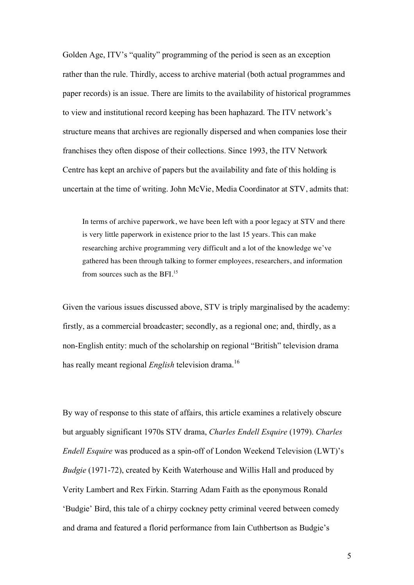Golden Age, ITV's "quality" programming of the period is seen as an exception rather than the rule. Thirdly, access to archive material (both actual programmes and paper records) is an issue. There are limits to the availability of historical programmes to view and institutional record keeping has been haphazard. The ITV network's structure means that archives are regionally dispersed and when companies lose their franchises they often dispose of their collections. Since 1993, the ITV Network Centre has kept an archive of papers but the availability and fate of this holding is uncertain at the time of writing. John McVie, Media Coordinator at STV, admits that:

In terms of archive paperwork, we have been left with a poor legacy at STV and there is very little paperwork in existence prior to the last 15 years. This can make researching archive programming very difficult and a lot of the knowledge we've gathered has been through talking to former employees, researchers, and information from sources such as the BFI.<sup>15</sup>

Given the various issues discussed above, STV is triply marginalised by the academy: firstly, as a commercial broadcaster; secondly, as a regional one; and, thirdly, as a non-English entity: much of the scholarship on regional "British" television drama has really meant regional *English* television drama. 16

By way of response to this state of affairs, this article examines a relatively obscure but arguably significant 1970s STV drama, *Charles Endell Esquire* (1979). *Charles Endell Esquire* was produced as a spin-off of London Weekend Television (LWT)'s *Budgie* (1971-72), created by Keith Waterhouse and Willis Hall and produced by Verity Lambert and Rex Firkin. Starring Adam Faith as the eponymous Ronald 'Budgie' Bird, this tale of a chirpy cockney petty criminal veered between comedy and drama and featured a florid performance from Iain Cuthbertson as Budgie's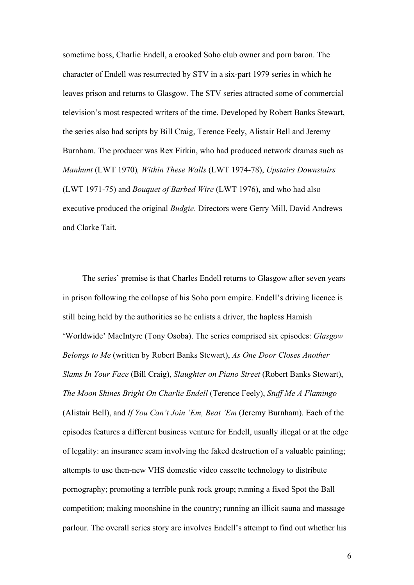sometime boss, Charlie Endell, a crooked Soho club owner and porn baron. The character of Endell was resurrected by STV in a six-part 1979 series in which he leaves prison and returns to Glasgow. The STV series attracted some of commercial television's most respected writers of the time. Developed by Robert Banks Stewart, the series also had scripts by Bill Craig, Terence Feely, Alistair Bell and Jeremy Burnham. The producer was Rex Firkin, who had produced network dramas such as *Manhunt* (LWT 1970)*, Within These Walls* (LWT 1974-78), *Upstairs Downstairs* (LWT 1971-75) and *Bouquet of Barbed Wire* (LWT 1976), and who had also executive produced the original *Budgie*. Directors were Gerry Mill, David Andrews and Clarke Tait.

The series' premise is that Charles Endell returns to Glasgow after seven years in prison following the collapse of his Soho porn empire. Endell's driving licence is still being held by the authorities so he enlists a driver, the hapless Hamish 'Worldwide' MacIntyre (Tony Osoba). The series comprised six episodes: *Glasgow Belongs to Me* (written by Robert Banks Stewart), *As One Door Closes Another Slams In Your Face* (Bill Craig), *Slaughter on Piano Street* (Robert Banks Stewart), *The Moon Shines Bright On Charlie Endell* (Terence Feely), *Stuff Me A Flamingo* (Alistair Bell), and *If You Can't Join 'Em, Beat 'Em* (Jeremy Burnham). Each of the episodes features a different business venture for Endell, usually illegal or at the edge of legality: an insurance scam involving the faked destruction of a valuable painting; attempts to use then-new VHS domestic video cassette technology to distribute pornography; promoting a terrible punk rock group; running a fixed Spot the Ball competition; making moonshine in the country; running an illicit sauna and massage parlour. The overall series story arc involves Endell's attempt to find out whether his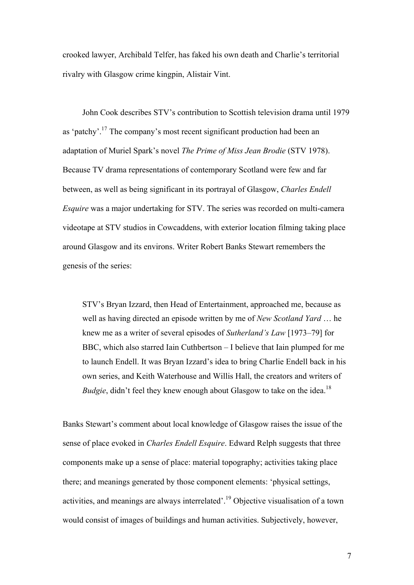crooked lawyer, Archibald Telfer, has faked his own death and Charlie's territorial rivalry with Glasgow crime kingpin, Alistair Vint.

John Cook describes STV's contribution to Scottish television drama until 1979 as 'patchy'.17 The company's most recent significant production had been an adaptation of Muriel Spark's novel *The Prime of Miss Jean Brodie* (STV 1978). Because TV drama representations of contemporary Scotland were few and far between, as well as being significant in its portrayal of Glasgow, *Charles Endell Esquire* was a major undertaking for STV. The series was recorded on multi-camera videotape at STV studios in Cowcaddens, with exterior location filming taking place around Glasgow and its environs. Writer Robert Banks Stewart remembers the genesis of the series:

STV's Bryan Izzard, then Head of Entertainment, approached me, because as well as having directed an episode written by me of *New Scotland Yard* … he knew me as a writer of several episodes of *Sutherland's Law* [1973–79] for BBC, which also starred Iain Cuthbertson – I believe that Iain plumped for me to launch Endell. It was Bryan Izzard's idea to bring Charlie Endell back in his own series, and Keith Waterhouse and Willis Hall, the creators and writers of *Budgie*, didn't feel they knew enough about Glasgow to take on the idea.<sup>18</sup>

Banks Stewart's comment about local knowledge of Glasgow raises the issue of the sense of place evoked in *Charles Endell Esquire*. Edward Relph suggests that three components make up a sense of place: material topography; activities taking place there; and meanings generated by those component elements: 'physical settings, activities, and meanings are always interrelated'. <sup>19</sup> Objective visualisation of a town would consist of images of buildings and human activities. Subjectively, however,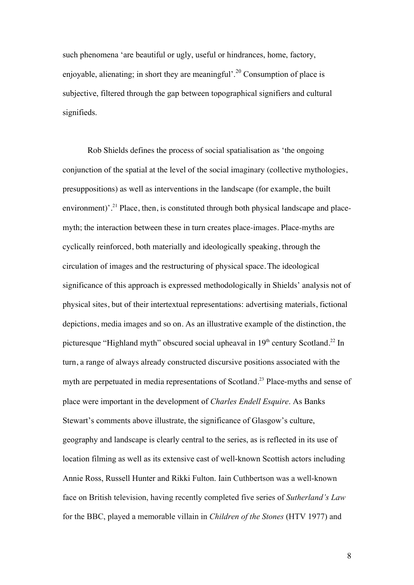such phenomena 'are beautiful or ugly, useful or hindrances, home, factory, enjoyable, alienating; in short they are meaningful'.<sup>20</sup> Consumption of place is subjective, filtered through the gap between topographical signifiers and cultural signifieds.

Rob Shields defines the process of social spatialisation as 'the ongoing conjunction of the spatial at the level of the social imaginary (collective mythologies, presuppositions) as well as interventions in the landscape (for example, the built environment)'.<sup>21</sup> Place, then, is constituted through both physical landscape and placemyth; the interaction between these in turn creates place-images. Place-myths are cyclically reinforced, both materially and ideologically speaking, through the circulation of images and the restructuring of physical space.The ideological significance of this approach is expressed methodologically in Shields' analysis not of physical sites, but of their intertextual representations: advertising materials, fictional depictions, media images and so on. As an illustrative example of the distinction, the picturesque "Highland myth" obscured social upheaval in 19<sup>th</sup> century Scotland.<sup>22</sup> In turn, a range of always already constructed discursive positions associated with the myth are perpetuated in media representations of Scotland.<sup>23</sup> Place-myths and sense of place were important in the development of *Charles Endell Esquire*. As Banks Stewart's comments above illustrate, the significance of Glasgow's culture, geography and landscape is clearly central to the series, as is reflected in its use of location filming as well as its extensive cast of well-known Scottish actors including Annie Ross, Russell Hunter and Rikki Fulton. Iain Cuthbertson was a well-known face on British television, having recently completed five series of *Sutherland's Law* for the BBC, played a memorable villain in *Children of the Stones* (HTV 1977) and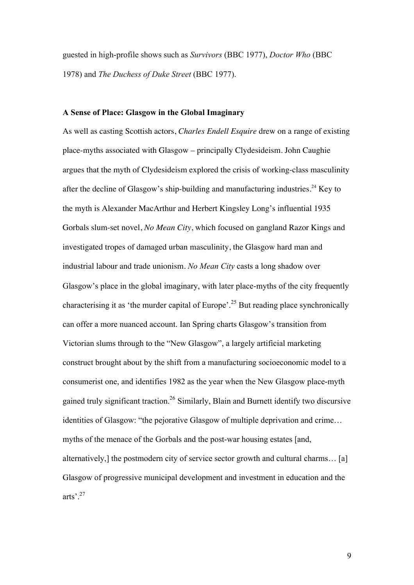guested in high-profile shows such as *Survivors* (BBC 1977), *Doctor Who* (BBC 1978) and *The Duchess of Duke Street* (BBC 1977).

# **A Sense of Place: Glasgow in the Global Imaginary**

As well as casting Scottish actors, *Charles Endell Esquire* drew on a range of existing place-myths associated with Glasgow – principally Clydesideism. John Caughie argues that the myth of Clydesideism explored the crisis of working-class masculinity after the decline of Glasgow's ship-building and manufacturing industries.<sup>24</sup> Key to the myth is Alexander MacArthur and Herbert Kingsley Long's influential 1935 Gorbals slum-set novel, *No Mean City*, which focused on gangland Razor Kings and investigated tropes of damaged urban masculinity, the Glasgow hard man and industrial labour and trade unionism. *No Mean City* casts a long shadow over Glasgow's place in the global imaginary, with later place-myths of the city frequently characterising it as 'the murder capital of Europe'.<sup>25</sup> But reading place synchronically can offer a more nuanced account. Ian Spring charts Glasgow's transition from Victorian slums through to the "New Glasgow", a largely artificial marketing construct brought about by the shift from a manufacturing socioeconomic model to a consumerist one, and identifies 1982 as the year when the New Glasgow place-myth gained truly significant traction.26 Similarly, Blain and Burnett identify two discursive identities of Glasgow: "the pejorative Glasgow of multiple deprivation and crime… myths of the menace of the Gorbals and the post-war housing estates [and, alternatively,] the postmodern city of service sector growth and cultural charms… [a] Glasgow of progressive municipal development and investment in education and the arts'.27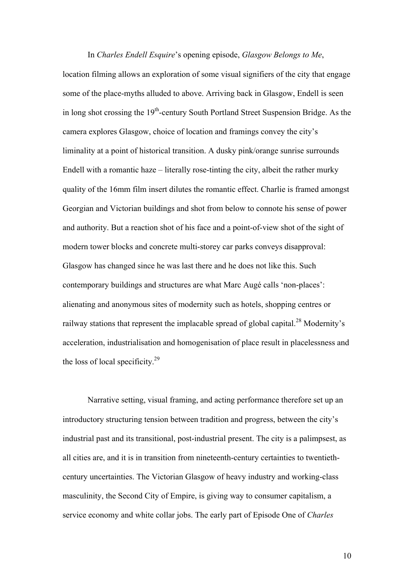In *Charles Endell Esquire*'s opening episode, *Glasgow Belongs to Me*, location filming allows an exploration of some visual signifiers of the city that engage some of the place-myths alluded to above. Arriving back in Glasgow, Endell is seen in long shot crossing the  $19<sup>th</sup>$ -century South Portland Street Suspension Bridge. As the camera explores Glasgow, choice of location and framings convey the city's liminality at a point of historical transition. A dusky pink/orange sunrise surrounds Endell with a romantic haze – literally rose-tinting the city, albeit the rather murky quality of the 16mm film insert dilutes the romantic effect. Charlie is framed amongst Georgian and Victorian buildings and shot from below to connote his sense of power and authority. But a reaction shot of his face and a point-of-view shot of the sight of modern tower blocks and concrete multi-storey car parks conveys disapproval: Glasgow has changed since he was last there and he does not like this. Such contemporary buildings and structures are what Marc Augé calls 'non-places': alienating and anonymous sites of modernity such as hotels, shopping centres or railway stations that represent the implacable spread of global capital.<sup>28</sup> Modernity's acceleration, industrialisation and homogenisation of place result in placelessness and the loss of local specificity. $2^9$ 

Narrative setting, visual framing, and acting performance therefore set up an introductory structuring tension between tradition and progress, between the city's industrial past and its transitional, post-industrial present. The city is a palimpsest, as all cities are, and it is in transition from nineteenth-century certainties to twentiethcentury uncertainties. The Victorian Glasgow of heavy industry and working-class masculinity, the Second City of Empire, is giving way to consumer capitalism, a service economy and white collar jobs. The early part of Episode One of *Charles*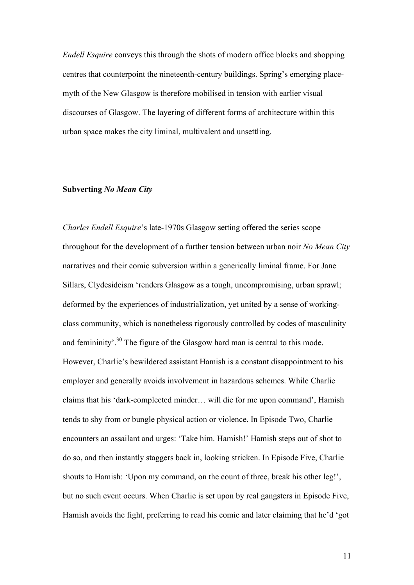*Endell Esquire* conveys this through the shots of modern office blocks and shopping centres that counterpoint the nineteenth-century buildings. Spring's emerging placemyth of the New Glasgow is therefore mobilised in tension with earlier visual discourses of Glasgow. The layering of different forms of architecture within this urban space makes the city liminal, multivalent and unsettling.

## **Subverting** *No Mean City*

*Charles Endell Esquire*'s late-1970s Glasgow setting offered the series scope throughout for the development of a further tension between urban noir *No Mean City* narratives and their comic subversion within a generically liminal frame. For Jane Sillars, Clydesideism 'renders Glasgow as a tough, uncompromising, urban sprawl; deformed by the experiences of industrialization, yet united by a sense of workingclass community, which is nonetheless rigorously controlled by codes of masculinity and femininity'.<sup>30</sup> The figure of the Glasgow hard man is central to this mode. However, Charlie's bewildered assistant Hamish is a constant disappointment to his employer and generally avoids involvement in hazardous schemes. While Charlie claims that his 'dark-complected minder… will die for me upon command', Hamish tends to shy from or bungle physical action or violence. In Episode Two, Charlie encounters an assailant and urges: 'Take him. Hamish!' Hamish steps out of shot to do so, and then instantly staggers back in, looking stricken. In Episode Five, Charlie shouts to Hamish: 'Upon my command, on the count of three, break his other leg!', but no such event occurs. When Charlie is set upon by real gangsters in Episode Five, Hamish avoids the fight, preferring to read his comic and later claiming that he'd 'got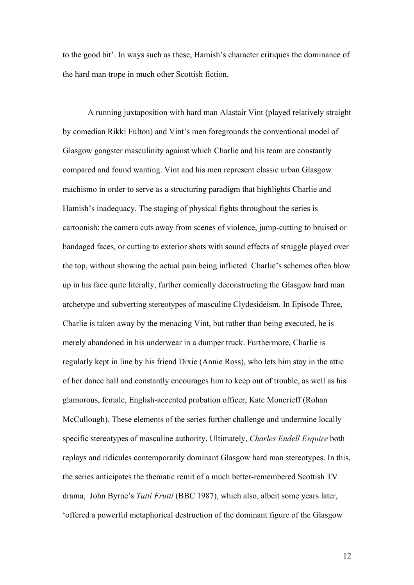to the good bit'. In ways such as these, Hamish's character critiques the dominance of the hard man trope in much other Scottish fiction.

A running juxtaposition with hard man Alastair Vint (played relatively straight by comedian Rikki Fulton) and Vint's men foregrounds the conventional model of Glasgow gangster masculinity against which Charlie and his team are constantly compared and found wanting. Vint and his men represent classic urban Glasgow machismo in order to serve as a structuring paradigm that highlights Charlie and Hamish's inadequacy. The staging of physical fights throughout the series is cartoonish: the camera cuts away from scenes of violence, jump-cutting to bruised or bandaged faces, or cutting to exterior shots with sound effects of struggle played over the top, without showing the actual pain being inflicted. Charlie's schemes often blow up in his face quite literally, further comically deconstructing the Glasgow hard man archetype and subverting stereotypes of masculine Clydesideism. In Episode Three, Charlie is taken away by the menacing Vint, but rather than being executed, he is merely abandoned in his underwear in a dumper truck. Furthermore, Charlie is regularly kept in line by his friend Dixie (Annie Ross), who lets him stay in the attic of her dance hall and constantly encourages him to keep out of trouble, as well as his glamorous, female, English-accented probation officer, Kate Moncrieff (Rohan McCullough). These elements of the series further challenge and undermine locally specific stereotypes of masculine authority. Ultimately, *Charles Endell Esquire* both replays and ridicules contemporarily dominant Glasgow hard man stereotypes. In this, the series anticipates the thematic remit of a much better-remembered Scottish TV drama, John Byrne's *Tutti Frutti* (BBC 1987), which also, albeit some years later, 'offered a powerful metaphorical destruction of the dominant figure of the Glasgow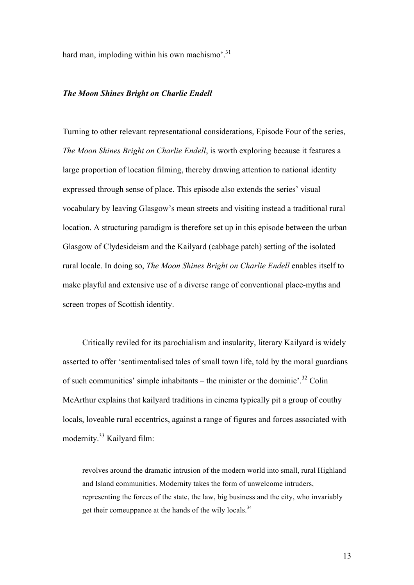hard man, imploding within his own machismo'.<sup>31</sup>

#### *The Moon Shines Bright on Charlie Endell*

Turning to other relevant representational considerations, Episode Four of the series, *The Moon Shines Bright on Charlie Endell*, is worth exploring because it features a large proportion of location filming, thereby drawing attention to national identity expressed through sense of place. This episode also extends the series' visual vocabulary by leaving Glasgow's mean streets and visiting instead a traditional rural location. A structuring paradigm is therefore set up in this episode between the urban Glasgow of Clydesideism and the Kailyard (cabbage patch) setting of the isolated rural locale. In doing so, *The Moon Shines Bright on Charlie Endell* enables itself to make playful and extensive use of a diverse range of conventional place-myths and screen tropes of Scottish identity.

Critically reviled for its parochialism and insularity, literary Kailyard is widely asserted to offer 'sentimentalised tales of small town life, told by the moral guardians of such communities' simple inhabitants – the minister or the dominie'.<sup>32</sup> Colin McArthur explains that kailyard traditions in cinema typically pit a group of couthy locals, loveable rural eccentrics, against a range of figures and forces associated with modernity.<sup>33</sup> Kailyard film:

revolves around the dramatic intrusion of the modern world into small, rural Highland and Island communities. Modernity takes the form of unwelcome intruders, representing the forces of the state, the law, big business and the city, who invariably get their comeuppance at the hands of the wily locals.<sup>34</sup>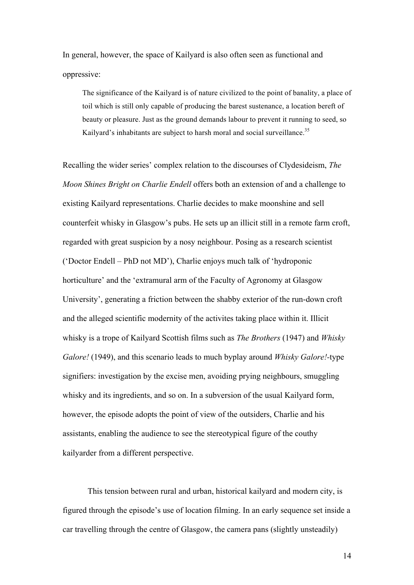In general, however, the space of Kailyard is also often seen as functional and oppressive:

The significance of the Kailyard is of nature civilized to the point of banality, a place of toil which is still only capable of producing the barest sustenance, a location bereft of beauty or pleasure. Just as the ground demands labour to prevent it running to seed, so Kailyard's inhabitants are subject to harsh moral and social surveillance.<sup>35</sup>

Recalling the wider series' complex relation to the discourses of Clydesideism, *The Moon Shines Bright on Charlie Endell* offers both an extension of and a challenge to existing Kailyard representations. Charlie decides to make moonshine and sell counterfeit whisky in Glasgow's pubs. He sets up an illicit still in a remote farm croft, regarded with great suspicion by a nosy neighbour. Posing as a research scientist ('Doctor Endell – PhD not MD'), Charlie enjoys much talk of 'hydroponic horticulture' and the 'extramural arm of the Faculty of Agronomy at Glasgow University', generating a friction between the shabby exterior of the run-down croft and the alleged scientific modernity of the activites taking place within it. Illicit whisky is a trope of Kailyard Scottish films such as *The Brothers* (1947) and *Whisky Galore!* (1949), and this scenario leads to much byplay around *Whisky Galore!-*type signifiers: investigation by the excise men, avoiding prying neighbours, smuggling whisky and its ingredients, and so on. In a subversion of the usual Kailyard form, however, the episode adopts the point of view of the outsiders, Charlie and his assistants, enabling the audience to see the stereotypical figure of the couthy kailyarder from a different perspective.

This tension between rural and urban, historical kailyard and modern city, is figured through the episode's use of location filming. In an early sequence set inside a car travelling through the centre of Glasgow, the camera pans (slightly unsteadily)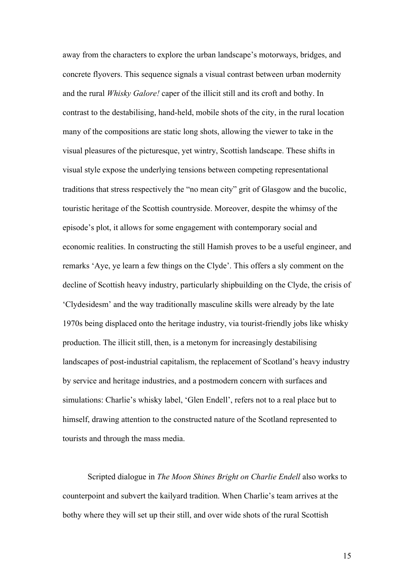away from the characters to explore the urban landscape's motorways, bridges, and concrete flyovers. This sequence signals a visual contrast between urban modernity and the rural *Whisky Galore!* caper of the illicit still and its croft and bothy. In contrast to the destabilising, hand-held, mobile shots of the city, in the rural location many of the compositions are static long shots, allowing the viewer to take in the visual pleasures of the picturesque, yet wintry, Scottish landscape. These shifts in visual style expose the underlying tensions between competing representational traditions that stress respectively the "no mean city" grit of Glasgow and the bucolic, touristic heritage of the Scottish countryside. Moreover, despite the whimsy of the episode's plot, it allows for some engagement with contemporary social and economic realities. In constructing the still Hamish proves to be a useful engineer, and remarks 'Aye, ye learn a few things on the Clyde'. This offers a sly comment on the decline of Scottish heavy industry, particularly shipbuilding on the Clyde, the crisis of 'Clydesidesm' and the way traditionally masculine skills were already by the late 1970s being displaced onto the heritage industry, via tourist-friendly jobs like whisky production. The illicit still, then, is a metonym for increasingly destabilising landscapes of post-industrial capitalism, the replacement of Scotland's heavy industry by service and heritage industries, and a postmodern concern with surfaces and simulations: Charlie's whisky label, 'Glen Endell', refers not to a real place but to himself, drawing attention to the constructed nature of the Scotland represented to tourists and through the mass media.

Scripted dialogue in *The Moon Shines Bright on Charlie Endell* also works to counterpoint and subvert the kailyard tradition. When Charlie's team arrives at the bothy where they will set up their still, and over wide shots of the rural Scottish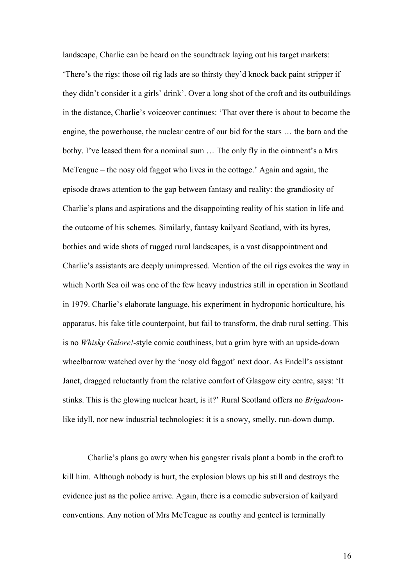landscape, Charlie can be heard on the soundtrack laying out his target markets: 'There's the rigs: those oil rig lads are so thirsty they'd knock back paint stripper if they didn't consider it a girls' drink'. Over a long shot of the croft and its outbuildings in the distance, Charlie's voiceover continues: 'That over there is about to become the engine, the powerhouse, the nuclear centre of our bid for the stars … the barn and the bothy. I've leased them for a nominal sum … The only fly in the ointment's a Mrs McTeague – the nosy old faggot who lives in the cottage.' Again and again, the episode draws attention to the gap between fantasy and reality: the grandiosity of Charlie's plans and aspirations and the disappointing reality of his station in life and the outcome of his schemes. Similarly, fantasy kailyard Scotland, with its byres, bothies and wide shots of rugged rural landscapes, is a vast disappointment and Charlie's assistants are deeply unimpressed. Mention of the oil rigs evokes the way in which North Sea oil was one of the few heavy industries still in operation in Scotland in 1979. Charlie's elaborate language, his experiment in hydroponic horticulture, his apparatus, his fake title counterpoint, but fail to transform, the drab rural setting. This is no *Whisky Galore!*-style comic couthiness, but a grim byre with an upside-down wheelbarrow watched over by the 'nosy old faggot' next door. As Endell's assistant Janet, dragged reluctantly from the relative comfort of Glasgow city centre, says: 'It stinks. This is the glowing nuclear heart, is it?' Rural Scotland offers no *Brigadoon*like idyll, nor new industrial technologies: it is a snowy, smelly, run-down dump.

Charlie's plans go awry when his gangster rivals plant a bomb in the croft to kill him. Although nobody is hurt, the explosion blows up his still and destroys the evidence just as the police arrive. Again, there is a comedic subversion of kailyard conventions. Any notion of Mrs McTeague as couthy and genteel is terminally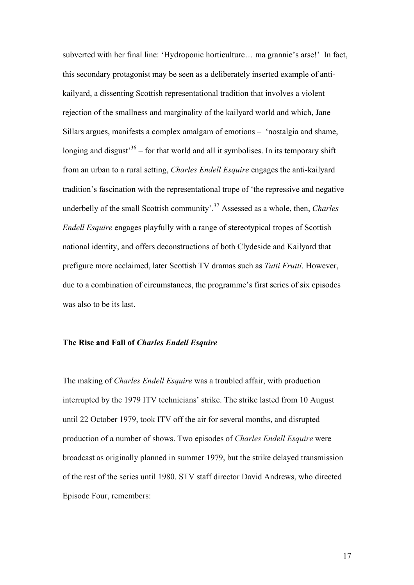subverted with her final line: 'Hydroponic horticulture… ma grannie's arse!' In fact, this secondary protagonist may be seen as a deliberately inserted example of antikailyard, a dissenting Scottish representational tradition that involves a violent rejection of the smallness and marginality of the kailyard world and which, Jane Sillars argues, manifests a complex amalgam of emotions – 'nostalgia and shame, longing and disgust<sup>36</sup> – for that world and all it symbolises. In its temporary shift from an urban to a rural setting, *Charles Endell Esquire* engages the anti-kailyard tradition's fascination with the representational trope of 'the repressive and negative underbelly of the small Scottish community'. <sup>37</sup> Assessed as a whole, then, *Charles Endell Esquire* engages playfully with a range of stereotypical tropes of Scottish national identity, and offers deconstructions of both Clydeside and Kailyard that prefigure more acclaimed, later Scottish TV dramas such as *Tutti Frutti*. However, due to a combination of circumstances, the programme's first series of six episodes was also to be its last.

### **The Rise and Fall of** *Charles Endell Esquire*

The making of *Charles Endell Esquire* was a troubled affair, with production interrupted by the 1979 ITV technicians' strike. The strike lasted from 10 August until 22 October 1979, took ITV off the air for several months, and disrupted production of a number of shows. Two episodes of *Charles Endell Esquire* were broadcast as originally planned in summer 1979, but the strike delayed transmission of the rest of the series until 1980. STV staff director David Andrews, who directed Episode Four, remembers: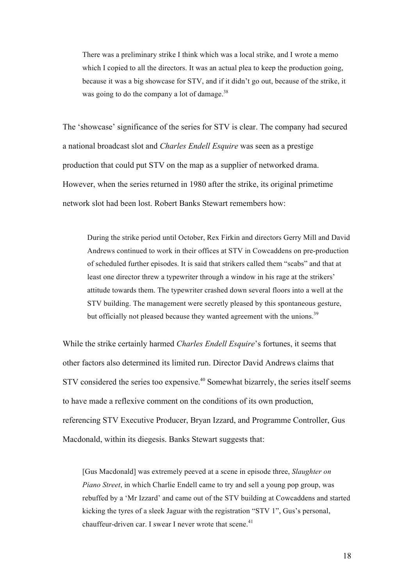There was a preliminary strike I think which was a local strike, and I wrote a memo which I copied to all the directors. It was an actual plea to keep the production going, because it was a big showcase for STV, and if it didn't go out, because of the strike, it was going to do the company a lot of damage. $38$ 

The 'showcase' significance of the series for STV is clear. The company had secured a national broadcast slot and *Charles Endell Esquire* was seen as a prestige production that could put STV on the map as a supplier of networked drama. However, when the series returned in 1980 after the strike, its original primetime network slot had been lost. Robert Banks Stewart remembers how:

During the strike period until October, Rex Firkin and directors Gerry Mill and David Andrews continued to work in their offices at STV in Cowcaddens on pre-production of scheduled further episodes. It is said that strikers called them "scabs" and that at least one director threw a typewriter through a window in his rage at the strikers' attitude towards them. The typewriter crashed down several floors into a well at the STV building. The management were secretly pleased by this spontaneous gesture, but officially not pleased because they wanted agreement with the unions.<sup>39</sup>

While the strike certainly harmed *Charles Endell Esquire*'s fortunes, it seems that other factors also determined its limited run. Director David Andrews claims that STV considered the series too expensive.<sup>40</sup> Somewhat bizarrely, the series itself seems to have made a reflexive comment on the conditions of its own production, referencing STV Executive Producer, Bryan Izzard, and Programme Controller, Gus Macdonald, within its diegesis. Banks Stewart suggests that:

[Gus Macdonald] was extremely peeved at a scene in episode three, *Slaughter on Piano Street*, in which Charlie Endell came to try and sell a young pop group, was rebuffed by a 'Mr Izzard' and came out of the STV building at Cowcaddens and started kicking the tyres of a sleek Jaguar with the registration "STV 1", Gus's personal, chauffeur-driven car. I swear I never wrote that scene. $41$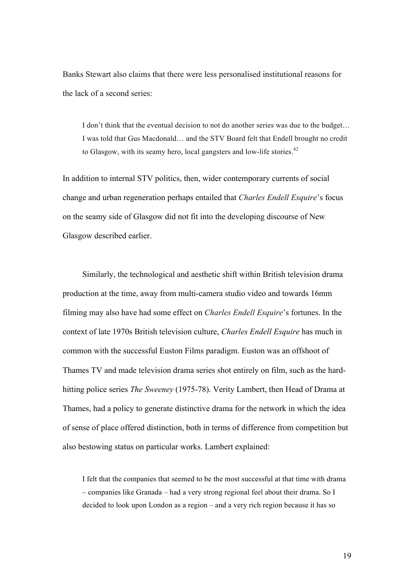Banks Stewart also claims that there were less personalised institutional reasons for the lack of a second series:

I don't think that the eventual decision to not do another series was due to the budget… I was told that Gus Macdonald… and the STV Board felt that Endell brought no credit to Glasgow, with its seamy hero, local gangsters and low-life stories.<sup>42</sup>

In addition to internal STV politics, then, wider contemporary currents of social change and urban regeneration perhaps entailed that *Charles Endell Esquire*'s focus on the seamy side of Glasgow did not fit into the developing discourse of New Glasgow described earlier.

Similarly, the technological and aesthetic shift within British television drama production at the time, away from multi-camera studio video and towards 16mm filming may also have had some effect on *Charles Endell Esquire*'s fortunes. In the context of late 1970s British television culture, *Charles Endell Esquire* has much in common with the successful Euston Films paradigm. Euston was an offshoot of Thames TV and made television drama series shot entirely on film, such as the hardhitting police series *The Sweeney* (1975-78). Verity Lambert, then Head of Drama at Thames, had a policy to generate distinctive drama for the network in which the idea of sense of place offered distinction, both in terms of difference from competition but also bestowing status on particular works. Lambert explained:

I felt that the companies that seemed to be the most successful at that time with drama – companies like Granada – had a very strong regional feel about their drama. So I decided to look upon London as a region – and a very rich region because it has so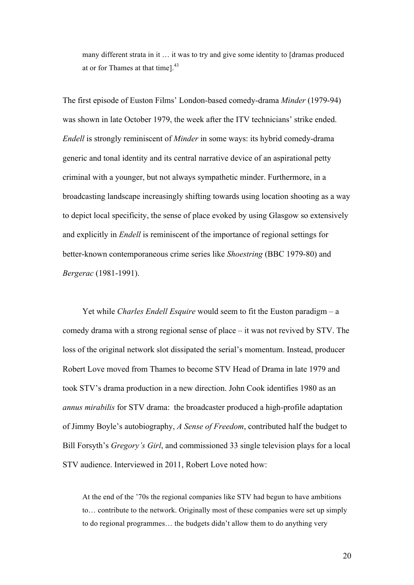many different strata in it … it was to try and give some identity to [dramas produced at or for Thames at that time].<sup>43</sup>

The first episode of Euston Films' London-based comedy-drama *Minder* (1979-94) was shown in late October 1979, the week after the ITV technicians' strike ended. *Endell* is strongly reminiscent of *Minder* in some ways: its hybrid comedy-drama generic and tonal identity and its central narrative device of an aspirational petty criminal with a younger, but not always sympathetic minder. Furthermore, in a broadcasting landscape increasingly shifting towards using location shooting as a way to depict local specificity, the sense of place evoked by using Glasgow so extensively and explicitly in *Endell* is reminiscent of the importance of regional settings for better-known contemporaneous crime series like *Shoestring* (BBC 1979-80) and *Bergerac* (1981-1991).

Yet while *Charles Endell Esquire* would seem to fit the Euston paradigm – a comedy drama with a strong regional sense of place – it was not revived by STV. The loss of the original network slot dissipated the serial's momentum. Instead, producer Robert Love moved from Thames to become STV Head of Drama in late 1979 and took STV's drama production in a new direction. John Cook identifies 1980 as an *annus mirabilis* for STV drama: the broadcaster produced a high-profile adaptation of Jimmy Boyle's autobiography, *A Sense of Freedom*, contributed half the budget to Bill Forsyth's *Gregory's Girl*, and commissioned 33 single television plays for a local STV audience. Interviewed in 2011, Robert Love noted how:

At the end of the '70s the regional companies like STV had begun to have ambitions to… contribute to the network. Originally most of these companies were set up simply to do regional programmes… the budgets didn't allow them to do anything very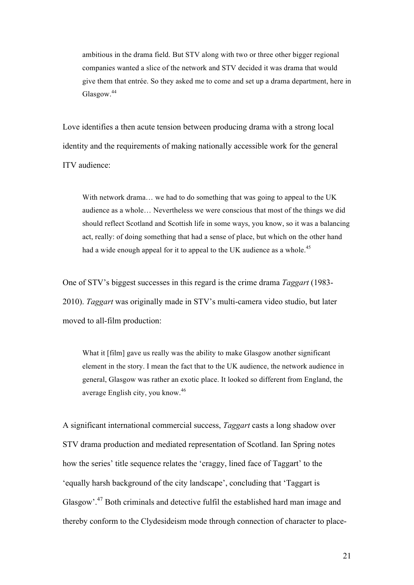ambitious in the drama field. But STV along with two or three other bigger regional companies wanted a slice of the network and STV decided it was drama that would give them that entrée. So they asked me to come and set up a drama department, here in Glasgow.<sup>44</sup>

Love identifies a then acute tension between producing drama with a strong local identity and the requirements of making nationally accessible work for the general ITV audience:

With network drama... we had to do something that was going to appeal to the UK audience as a whole… Nevertheless we were conscious that most of the things we did should reflect Scotland and Scottish life in some ways, you know, so it was a balancing act, really: of doing something that had a sense of place, but which on the other hand had a wide enough appeal for it to appeal to the UK audience as a whole.<sup>45</sup>

One of STV's biggest successes in this regard is the crime drama *Taggart* (1983- 2010). *Taggart* was originally made in STV's multi-camera video studio, but later moved to all-film production:

What it [film] gave us really was the ability to make Glasgow another significant element in the story. I mean the fact that to the UK audience, the network audience in general, Glasgow was rather an exotic place. It looked so different from England, the average English city, you know. 46

A significant international commercial success, *Taggart* casts a long shadow over STV drama production and mediated representation of Scotland. Ian Spring notes how the series' title sequence relates the 'craggy, lined face of Taggart' to the 'equally harsh background of the city landscape', concluding that 'Taggart is Glasgow'.<sup>47</sup> Both criminals and detective fulfil the established hard man image and thereby conform to the Clydesideism mode through connection of character to place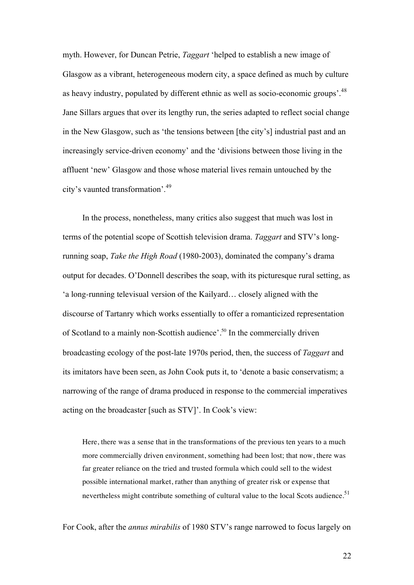myth. However, for Duncan Petrie, *Taggart* 'helped to establish a new image of Glasgow as a vibrant, heterogeneous modern city, a space defined as much by culture as heavy industry, populated by different ethnic as well as socio-economic groups'.<sup>48</sup> Jane Sillars argues that over its lengthy run, the series adapted to reflect social change in the New Glasgow, such as 'the tensions between [the city's] industrial past and an increasingly service-driven economy' and the 'divisions between those living in the affluent 'new' Glasgow and those whose material lives remain untouched by the city's vaunted transformation'.<sup>49</sup>

In the process, nonetheless, many critics also suggest that much was lost in terms of the potential scope of Scottish television drama. *Taggart* and STV's longrunning soap, *Take the High Road* (1980-2003), dominated the company's drama output for decades. O'Donnell describes the soap, with its picturesque rural setting, as 'a long-running televisual version of the Kailyard… closely aligned with the discourse of Tartanry which works essentially to offer a romanticized representation of Scotland to a mainly non-Scottish audience'. <sup>50</sup> In the commercially driven broadcasting ecology of the post-late 1970s period, then, the success of *Taggart* and its imitators have been seen, as John Cook puts it, to 'denote a basic conservatism; a narrowing of the range of drama produced in response to the commercial imperatives acting on the broadcaster [such as STV]'. In Cook's view:

Here, there was a sense that in the transformations of the previous ten years to a much more commercially driven environment, something had been lost; that now, there was far greater reliance on the tried and trusted formula which could sell to the widest possible international market, rather than anything of greater risk or expense that nevertheless might contribute something of cultural value to the local Scots audience.<sup>51</sup>

For Cook, after the *annus mirabilis* of 1980 STV's range narrowed to focus largely on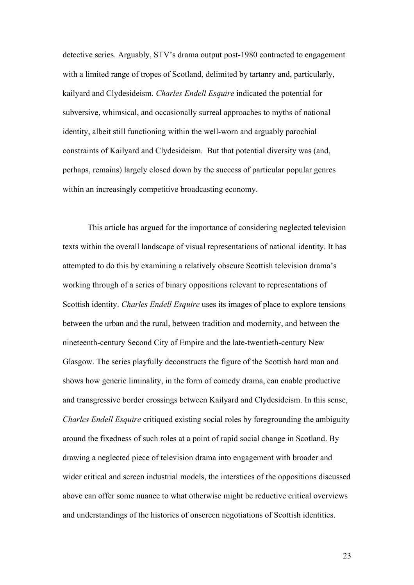detective series. Arguably, STV's drama output post-1980 contracted to engagement with a limited range of tropes of Scotland, delimited by tartanry and, particularly, kailyard and Clydesideism. *Charles Endell Esquire* indicated the potential for subversive, whimsical, and occasionally surreal approaches to myths of national identity, albeit still functioning within the well-worn and arguably parochial constraints of Kailyard and Clydesideism. But that potential diversity was (and, perhaps, remains) largely closed down by the success of particular popular genres within an increasingly competitive broadcasting economy.

This article has argued for the importance of considering neglected television texts within the overall landscape of visual representations of national identity. It has attempted to do this by examining a relatively obscure Scottish television drama's working through of a series of binary oppositions relevant to representations of Scottish identity. *Charles Endell Esquire* uses its images of place to explore tensions between the urban and the rural, between tradition and modernity, and between the nineteenth-century Second City of Empire and the late-twentieth-century New Glasgow. The series playfully deconstructs the figure of the Scottish hard man and shows how generic liminality, in the form of comedy drama, can enable productive and transgressive border crossings between Kailyard and Clydesideism. In this sense, *Charles Endell Esquire* critiqued existing social roles by foregrounding the ambiguity around the fixedness of such roles at a point of rapid social change in Scotland. By drawing a neglected piece of television drama into engagement with broader and wider critical and screen industrial models, the interstices of the oppositions discussed above can offer some nuance to what otherwise might be reductive critical overviews and understandings of the histories of onscreen negotiations of Scottish identities.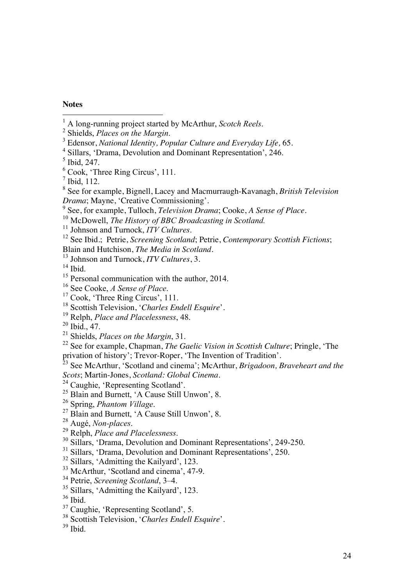## **Notes**

- <sup>1</sup> A long-running project started by McArthur, *Scotch Reels*. <sup>2</sup> Shields, *Places on the Margin*. <sup>3</sup> Edensor, *National Identity, Popular Culture and Everyday Life,* 65.
- <sup>4</sup> Sillars, 'Drama, Devolution and Dominant Representation', 246.

 $\frac{6}{3}$  Cook, 'Three Ring Circus', 111.

- 
- 

<sup>10</sup> McDowell, *The History of BBC Broadcasting in Scotland.*<br><sup>11</sup> Johnson and Turnock, *ITV Cultures*.<br><sup>12</sup> See Ibid.; Petrie, *Screening Scotland*; Petrie, *Contemporary Scottish Fictions*;<br>Blain and Hutchison, *The Med* 

<sup>13</sup> Johnson and Turnock, *ITV Cultures*, 3. <sup>14</sup> Ibid.

- <sup>15</sup> Personal communication with the author, 2014.<br><sup>16</sup> See Cooke, *A Sense of Place*.<br><sup>17</sup> Cook, 'Three Ring Circus', 111.
- 
- 
- <sup>18</sup> Scottish Television, '*Charles Endell Esquire*'.
- <sup>19</sup> Relph, *Place and Placelessness*, 48.

<sup>21</sup> Shields, *Places on the Margin*, 31.

<sup>22</sup> See for example, Chapman, *The Gaelic Vision in Scottish Culture*; Pringle, 'The privation of history'; Trevor-Roper, 'The Invention of Tradition'.

<sup>23</sup> See McArthur, 'Scotland and cinema'; McArthur, *Brigadoon, Braveheart and the Scots*; Martin-Jones, *Scotland: Global Cinema*. <sup>24</sup> Caughie, 'Representing Scotland'.

- <sup>25</sup> Blain and Burnett, 'A Cause Still Unwon', 8.<br> $26$  Spring, *Phantom Village*.
- 
- <sup>27</sup> Blain and Burnett, 'A Cause Still Unwon', 8.<br><sup>28</sup> Augé, *Non-places*.
- 
- <sup>29</sup> Relph, *Place and Placelessness*.<br><sup>30</sup> Sillars, 'Drama, Devolution and Dominant Representations', 249-250.
- <sup>31</sup> Sillars, 'Drama, Devolution and Dominant Representations', 250.
- <sup>32</sup> Sillars, 'Admitting the Kailyard', 123.
- <sup>33</sup> McArthur, 'Scotland and cinema', 47-9.
- <sup>34</sup> Petrie, *Screening Scotland*, 3–4.
- <sup>35</sup> Sillars, 'Admitting the Kailyard', 123.
- <sup>36</sup> Ibid.
- <sup>37</sup> Caughie, 'Representing Scotland', 5.
- <sup>38</sup> Scottish Television, '*Charles Endell Esquire*'.
- $39$  Ibid.

 $<sup>5</sup>$  Ibid, 247.</sup>

 $<sup>7</sup>$  Ibid, 112.</sup>

<sup>8</sup> See for example, Bignell, Lacey and Macmurraugh-Kavanagh, *British Television Drama*; Mayne, 'Creative Commissioning'.<br><sup>9</sup> See, for example, Tulloch, *Television Drama*; Cooke, *A Sense of Place*.

 $^{20}$  Ibid., 47.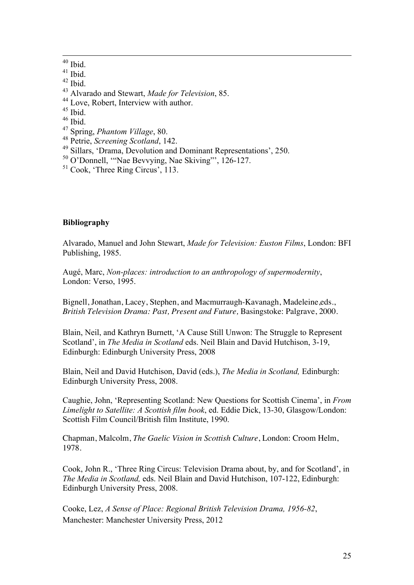$^{40}$  Ibid.

 $41$  Ibid.

- $42$  Ibid.
- <sup>43</sup> Alvarado and Stewart, *Made for Television*, 85. <sup>44</sup> Love, Robert, Interview with author. <sup>45</sup> Ibid.
- 

- $^{46}$  Ibid.
- <sup>47</sup> Spring, *Phantom Village*, 80.
- 
- <sup>49</sup> Sillars, *'Drama*, Devolution and Dominant Representations', 250.
- <sup>50</sup> O'Donnell, '"Nae Bevvying, Nae Skiving"', 126-127.
- <sup>51</sup> Cook, 'Three Ring Circus', 113.

# **Bibliography**

Alvarado, Manuel and John Stewart, *Made for Television: Euston Films*, London: BFI Publishing, 1985.

Augé, Marc, *Non-places: introduction to an anthropology of supermodernity*, London: Verso, 1995.

Bignell, Jonathan, Lacey, Stephen, and Macmurraugh-Kavanagh, Madeleine,eds., *British Television Drama: Past, Present and Future,* Basingstoke: Palgrave, 2000.

Blain, Neil, and Kathryn Burnett, 'A Cause Still Unwon: The Struggle to Represent Scotland', in *The Media in Scotland* eds. Neil Blain and David Hutchison, 3-19, Edinburgh: Edinburgh University Press, 2008

Blain, Neil and David Hutchison, David (eds.), *The Media in Scotland,* Edinburgh: Edinburgh University Press, 2008.

Caughie, John, 'Representing Scotland: New Questions for Scottish Cinema', in *From Limelight to Satellite: A Scottish film book*, ed. Eddie Dick, 13-30, Glasgow/London: Scottish Film Council/British film Institute, 1990.

Chapman, Malcolm, *The Gaelic Vision in Scottish Culture*, London: Croom Helm, 1978.

Cook, John R., 'Three Ring Circus: Television Drama about, by, and for Scotland', in *The Media in Scotland,* eds. Neil Blain and David Hutchison, 107-122, Edinburgh: Edinburgh University Press, 2008.

Cooke, Lez, *A Sense of Place: Regional British Television Drama, 1956-82*, Manchester: Manchester University Press, 2012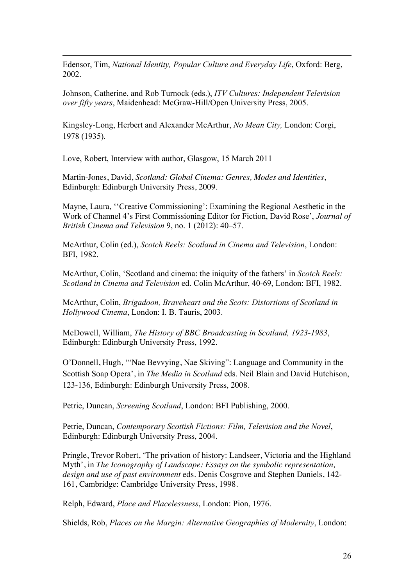Edensor, Tim, *National Identity, Popular Culture and Everyday Life*, Oxford: Berg, 2002.

Johnson, Catherine, and Rob Turnock (eds.), *ITV Cultures: Independent Television over fifty years*, Maidenhead: McGraw-Hill/Open University Press, 2005.

Kingsley-Long, Herbert and Alexander McArthur, *No Mean City,* London: Corgi, 1978 (1935).

Love, Robert, Interview with author, Glasgow, 15 March 2011

 $\overline{a}$ 

Martin-Jones, David, *Scotland: Global Cinema: Genres, Modes and Identities*, Edinburgh: Edinburgh University Press, 2009.

Mayne, Laura, ''Creative Commissioning': Examining the Regional Aesthetic in the Work of Channel 4's First Commissioning Editor for Fiction, David Rose', *Journal of British Cinema and Television* 9, no. 1 (2012): 40–57.

McArthur, Colin (ed.), *Scotch Reels: Scotland in Cinema and Television*, London: BFI, 1982.

McArthur, Colin, 'Scotland and cinema: the iniquity of the fathers' in *Scotch Reels: Scotland in Cinema and Television* ed. Colin McArthur, 40-69, London: BFI, 1982.

McArthur, Colin, *Brigadoon, Braveheart and the Scots: Distortions of Scotland in Hollywood Cinema*, London: I. B. Tauris, 2003.

McDowell, William, *The History of BBC Broadcasting in Scotland, 1923-1983*, Edinburgh: Edinburgh University Press, 1992.

O'Donnell, Hugh, '"Nae Bevvying, Nae Skiving": Language and Community in the Scottish Soap Opera', in *The Media in Scotland* eds. Neil Blain and David Hutchison, 123-136, Edinburgh: Edinburgh University Press, 2008.

Petrie, Duncan, *Screening Scotland*, London: BFI Publishing, 2000.

Petrie, Duncan, *Contemporary Scottish Fictions: Film, Television and the Novel*, Edinburgh: Edinburgh University Press, 2004.

Pringle, Trevor Robert, 'The privation of history: Landseer, Victoria and the Highland Myth', in *The Iconography of Landscape: Essays on the symbolic representation, design and use of past environment* eds. Denis Cosgrove and Stephen Daniels, 142- 161, Cambridge: Cambridge University Press, 1998.

Relph, Edward, *Place and Placelessness*, London: Pion, 1976.

Shields, Rob, *Places on the Margin: Alternative Geographies of Modernity*, London: